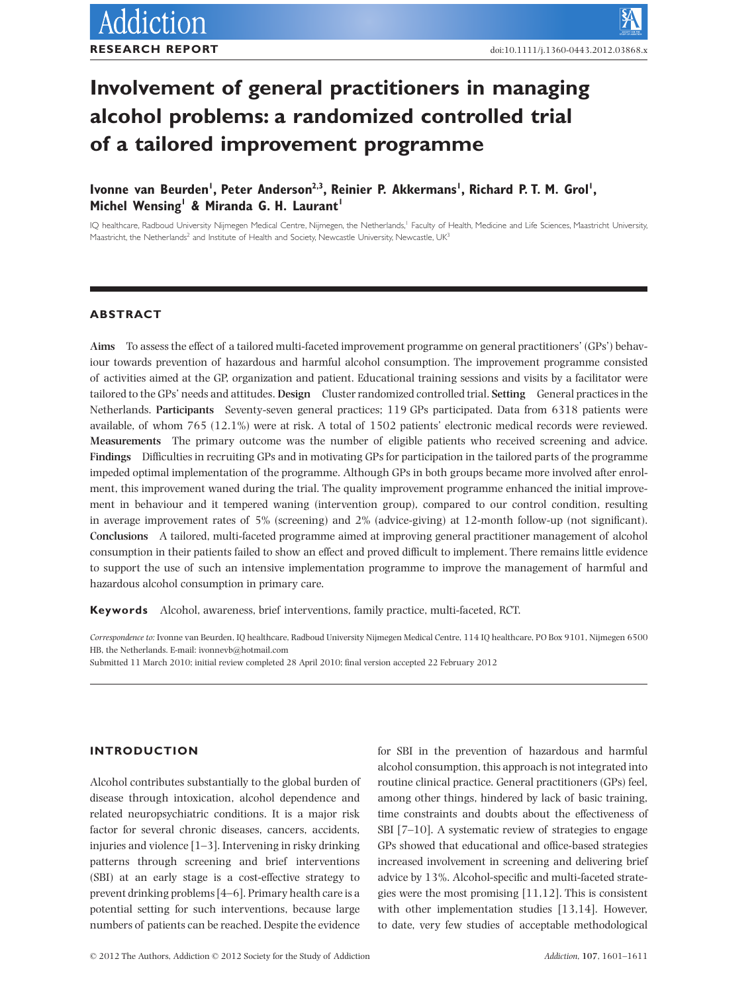# **Involvement of general practitioners in managing alcohol problems: a randomized controlled trial** of a tailored improvement programme

# lvonne van Beurden<sup>'</sup>, Peter Anderson<sup>2,3</sup>, Reinier P. Akkermans', Richard P. T. M. Grol', Michel Wensing<sup>1</sup> & Miranda G. H. Laurant<sup>1</sup>

IQ healthcare, Radboud University Nijmegen Medical Centre, Nijmegen, the Netherlands,<sup>1</sup> Faculty of Health, Medicine and Life Sciences, Maastricht University, Maastricht, the Netherlands<sup>2</sup> and Institute of Health and Society, Newcastle University, Newcastle, UK<sup>3</sup>

# **ABSTRACT**

**Aims** To assess the effect of a tailored multi-faceted improvement programme on general practitioners' (GPs') behaviour towards prevention of hazardous and harmful alcohol consumption. The improvement programme consisted of activities aimed at the GP, organization and patient. Educational training sessions and visits by a facilitator were tailored to the GPs' needs and attitudes. **Design** Cluster randomized controlled trial. **Setting** General practices in the Netherlands. **Participants** Seventy-seven general practices; 119 GPs participated. Data from 6318 patients were available, of whom 765 (12.1%) were at risk. A total of 1502 patients' electronic medical records were reviewed. **Measurements** The primary outcome was the number of eligible patients who received screening and advice. **Findings** Difficulties in recruiting GPs and in motivating GPs for participation in the tailored parts of the programme impeded optimal implementation of the programme. Although GPs in both groups became more involved after enrolment, this improvement waned during the trial. The quality improvement programme enhanced the initial improvement in behaviour and it tempered waning (intervention group), compared to our control condition, resulting in average improvement rates of 5% (screening) and 2% (advice-giving) at 12-month follow-up (not significant). **Conclusions** A tailored, multi-faceted programme aimed at improving general practitioner management of alcohol consumption in their patients failed to show an effect and proved difficult to implement. There remains little evidence to support the use of such an intensive implementation programme to improve the management of harmful and hazardous alcohol consumption in primary care.

**Keywords** Alcohol, awareness, brief interventions, family practice, multi-faceted, RCT.

*Correspondence to:* Ivonne van Beurden, IQ healthcare, Radboud University Nijmegen Medical Centre, 114 IQ healthcare, PO Box 9101, Nijmegen 6500 HB, the Netherlands. E-mail: ivonnevb@hotmail.com

Submitted 11 March 2010; initial review completed 28 April 2010; final version accepted 22 February 2012

# **INTRODUCTION**

Alcohol contributes substantially to the global burden of disease through intoxication, alcohol dependence and related neuropsychiatric conditions. It is a major risk factor for several chronic diseases, cancers, accidents, injuries and violence [1–3]. Intervening in risky drinking patterns through screening and brief interventions (SBI) at an early stage is a cost-effective strategy to prevent drinking problems [4–6]. Primary health care is a potential setting for such interventions, because large numbers of patients can be reached. Despite the evidence

for SBI in the prevention of hazardous and harmful alcohol consumption, this approach is not integrated into routine clinical practice. General practitioners (GPs) feel, among other things, hindered by lack of basic training, time constraints and doubts about the effectiveness of SBI [7–10]. A systematic review of strategies to engage GPs showed that educational and office-based strategies increased involvement in screening and delivering brief advice by 13%. Alcohol-specific and multi-faceted strategies were the most promising [11,12]. This is consistent with other implementation studies [13,14]. However, to date, very few studies of acceptable methodological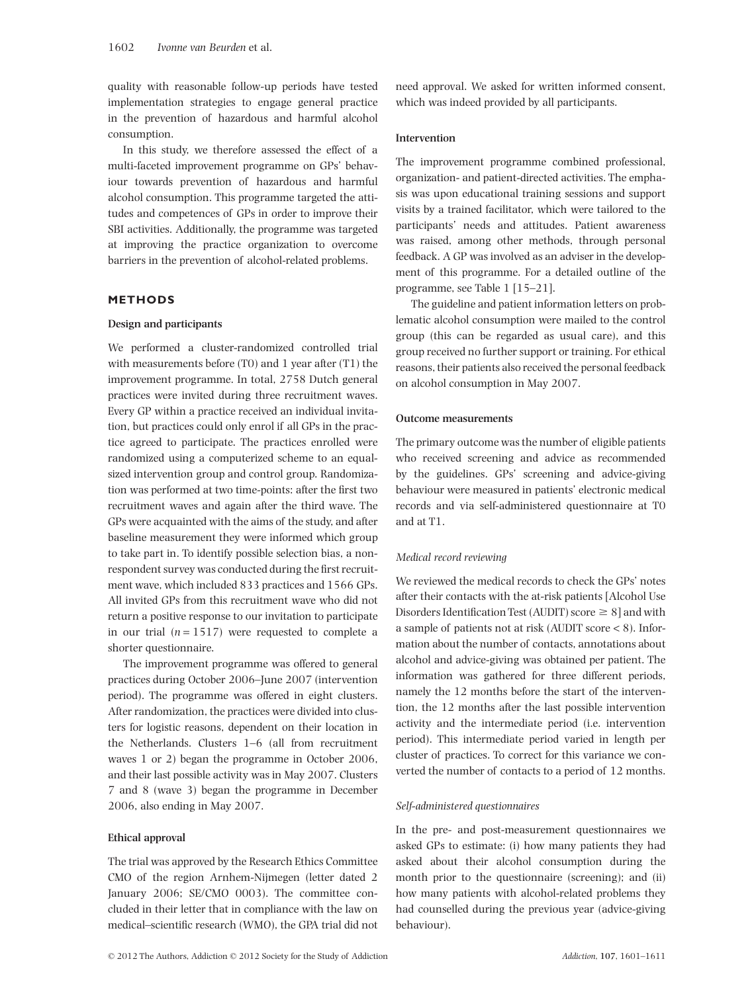quality with reasonable follow-up periods have tested implementation strategies to engage general practice in the prevention of hazardous and harmful alcohol consumption.

In this study, we therefore assessed the effect of a multi-faceted improvement programme on GPs' behaviour towards prevention of hazardous and harmful alcohol consumption. This programme targeted the attitudes and competences of GPs in order to improve their SBI activities. Additionally, the programme was targeted at improving the practice organization to overcome barriers in the prevention of alcohol-related problems.

# **METHODS**

# **Design and participants**

We performed a cluster-randomized controlled trial with measurements before (T0) and 1 year after (T1) the improvement programme. In total, 2758 Dutch general practices were invited during three recruitment waves. Every GP within a practice received an individual invitation, but practices could only enrol if all GPs in the practice agreed to participate. The practices enrolled were randomized using a computerized scheme to an equalsized intervention group and control group. Randomization was performed at two time-points: after the first two recruitment waves and again after the third wave. The GPs were acquainted with the aims of the study, and after baseline measurement they were informed which group to take part in. To identify possible selection bias, a nonrespondent survey was conducted during the first recruitment wave, which included 833 practices and 1566 GPs. All invited GPs from this recruitment wave who did not return a positive response to our invitation to participate in our trial  $(n = 1517)$  were requested to complete a shorter questionnaire.

The improvement programme was offered to general practices during October 2006–June 2007 (intervention period). The programme was offered in eight clusters. After randomization, the practices were divided into clusters for logistic reasons, dependent on their location in the Netherlands. Clusters 1–6 (all from recruitment waves 1 or 2) began the programme in October 2006, and their last possible activity was in May 2007. Clusters 7 and 8 (wave 3) began the programme in December 2006, also ending in May 2007.

# **Ethical approval**

The trial was approved by the Research Ethics Committee CMO of the region Arnhem-Nijmegen (letter dated 2 January 2006; SE/CMO 0003). The committee concluded in their letter that in compliance with the law on medical–scientific research (WMO), the GPA trial did not need approval. We asked for written informed consent, which was indeed provided by all participants.

# **Intervention**

The improvement programme combined professional, organization- and patient-directed activities. The emphasis was upon educational training sessions and support visits by a trained facilitator, which were tailored to the participants' needs and attitudes. Patient awareness was raised, among other methods, through personal feedback. A GP was involved as an adviser in the development of this programme. For a detailed outline of the programme, see Table 1 [15–21].

The guideline and patient information letters on problematic alcohol consumption were mailed to the control group (this can be regarded as usual care), and this group received no further support or training. For ethical reasons, their patients also received the personal feedback on alcohol consumption in May 2007.

# **Outcome measurements**

The primary outcome was the number of eligible patients who received screening and advice as recommended by the guidelines. GPs' screening and advice-giving behaviour were measured in patients' electronic medical records and via self-administered questionnaire at T0 and at T1.

# *Medical record reviewing*

We reviewed the medical records to check the GPs' notes after their contacts with the at-risk patients [Alcohol Use Disorders Identification Test (AUDIT) score  $\geq 8$ ] and with a sample of patients not at risk (AUDIT score < 8). Information about the number of contacts, annotations about alcohol and advice-giving was obtained per patient. The information was gathered for three different periods, namely the 12 months before the start of the intervention, the 12 months after the last possible intervention activity and the intermediate period (i.e. intervention period). This intermediate period varied in length per cluster of practices. To correct for this variance we converted the number of contacts to a period of 12 months.

# *Self-administered questionnaires*

In the pre- and post-measurement questionnaires we asked GPs to estimate: (i) how many patients they had asked about their alcohol consumption during the month prior to the questionnaire (screening); and (ii) how many patients with alcohol-related problems they had counselled during the previous year (advice-giving behaviour).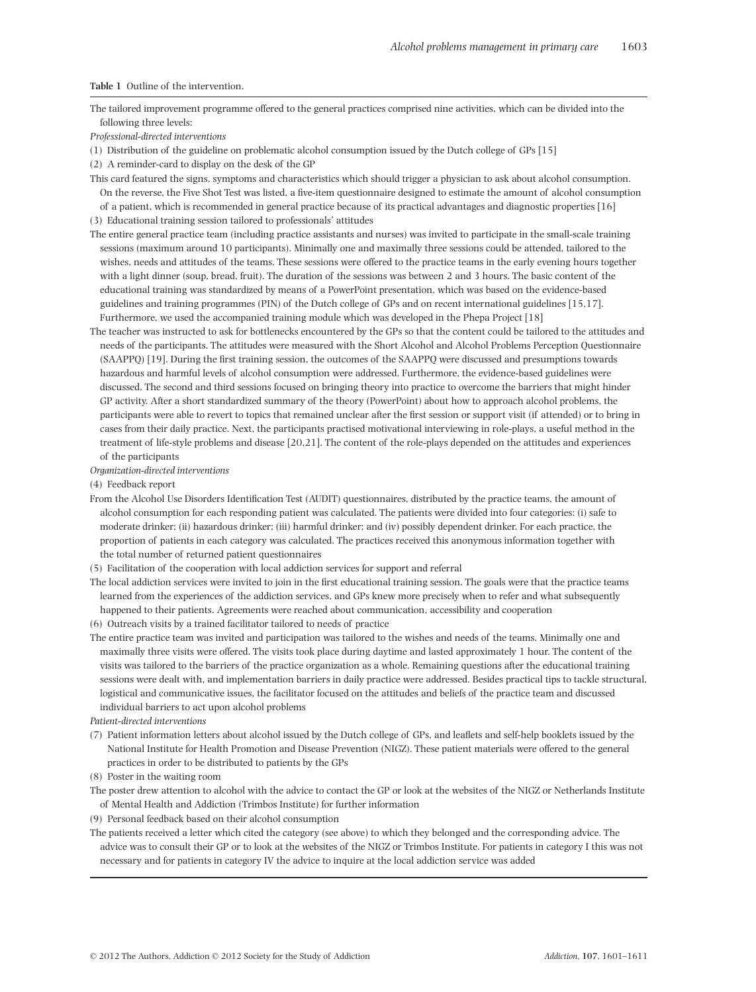#### **Table 1** Outline of the intervention.

The tailored improvement programme offered to the general practices comprised nine activities, which can be divided into the following three levels:

*Professional-directed interventions*

- (1) Distribution of the guideline on problematic alcohol consumption issued by the Dutch college of GPs [15]
- (2) A reminder-card to display on the desk of the GP

This card featured the signs, symptoms and characteristics which should trigger a physician to ask about alcohol consumption. On the reverse, the Five Shot Test was listed, a five-item questionnaire designed to estimate the amount of alcohol consumption

of a patient, which is recommended in general practice because of its practical advantages and diagnostic properties [16] (3) Educational training session tailored to professionals' attitudes

The entire general practice team (including practice assistants and nurses) was invited to participate in the small-scale training sessions (maximum around 10 participants). Minimally one and maximally three sessions could be attended, tailored to the wishes, needs and attitudes of the teams. These sessions were offered to the practice teams in the early evening hours together with a light dinner (soup, bread, fruit). The duration of the sessions was between 2 and 3 hours. The basic content of the educational training was standardized by means of a PowerPoint presentation, which was based on the evidence-based guidelines and training programmes (PIN) of the Dutch college of GPs and on recent international guidelines [15,17]. Furthermore, we used the accompanied training module which was developed in the Phepa Project [18]

The teacher was instructed to ask for bottlenecks encountered by the GPs so that the content could be tailored to the attitudes and needs of the participants. The attitudes were measured with the Short Alcohol and Alcohol Problems Perception Questionnaire (SAAPPQ) [19]. During the first training session, the outcomes of the SAAPPQ were discussed and presumptions towards hazardous and harmful levels of alcohol consumption were addressed. Furthermore, the evidence-based guidelines were discussed. The second and third sessions focused on bringing theory into practice to overcome the barriers that might hinder GP activity. After a short standardized summary of the theory (PowerPoint) about how to approach alcohol problems, the participants were able to revert to topics that remained unclear after the first session or support visit (if attended) or to bring in cases from their daily practice. Next, the participants practised motivational interviewing in role-plays, a useful method in the treatment of life-style problems and disease [20,21]. The content of the role-plays depended on the attitudes and experiences of the participants

*Organization-directed interventions*

(4) Feedback report

From the Alcohol Use Disorders Identification Test (AUDIT) questionnaires, distributed by the practice teams, the amount of alcohol consumption for each responding patient was calculated. The patients were divided into four categories: (i) safe to moderate drinker; (ii) hazardous drinker; (iii) harmful drinker; and (iv) possibly dependent drinker. For each practice, the proportion of patients in each category was calculated. The practices received this anonymous information together with the total number of returned patient questionnaires

(5) Facilitation of the cooperation with local addiction services for support and referral

The local addiction services were invited to join in the first educational training session. The goals were that the practice teams learned from the experiences of the addiction services, and GPs knew more precisely when to refer and what subsequently happened to their patients. Agreements were reached about communication, accessibility and cooperation

(6) Outreach visits by a trained facilitator tailored to needs of practice

The entire practice team was invited and participation was tailored to the wishes and needs of the teams. Minimally one and maximally three visits were offered. The visits took place during daytime and lasted approximately 1 hour. The content of the visits was tailored to the barriers of the practice organization as a whole. Remaining questions after the educational training sessions were dealt with, and implementation barriers in daily practice were addressed. Besides practical tips to tackle structural, logistical and communicative issues, the facilitator focused on the attitudes and beliefs of the practice team and discussed individual barriers to act upon alcohol problems

*Patient-directed interventions*

- (7) Patient information letters about alcohol issued by the Dutch college of GPs, and leaflets and self-help booklets issued by the National Institute for Health Promotion and Disease Prevention (NIGZ). These patient materials were offered to the general practices in order to be distributed to patients by the GPs
- (8) Poster in the waiting room

The poster drew attention to alcohol with the advice to contact the GP or look at the websites of the NIGZ or Netherlands Institute of Mental Health and Addiction (Trimbos Institute) for further information

(9) Personal feedback based on their alcohol consumption

The patients received a letter which cited the category (see above) to which they belonged and the corresponding advice. The advice was to consult their GP or to look at the websites of the NIGZ or Trimbos Institute. For patients in category I this was not necessary and for patients in category IV the advice to inquire at the local addiction service was added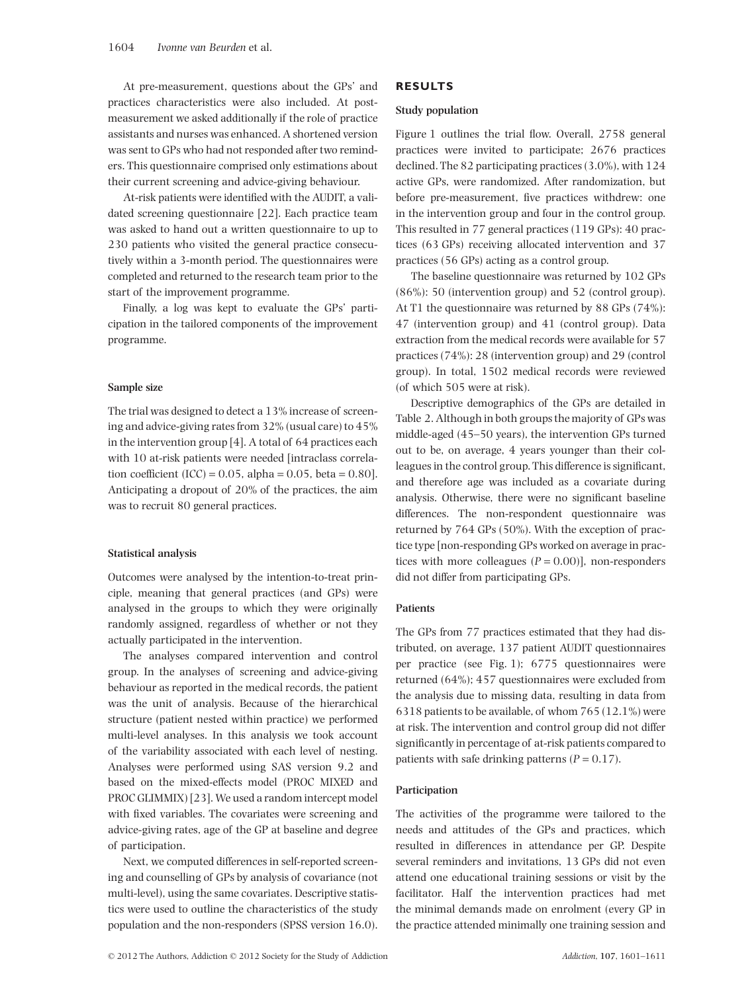At pre-measurement, questions about the GPs' and practices characteristics were also included. At postmeasurement we asked additionally if the role of practice assistants and nurses was enhanced. A shortened version was sent to GPs who had not responded after two reminders. This questionnaire comprised only estimations about their current screening and advice-giving behaviour.

At-risk patients were identified with the AUDIT, a validated screening questionnaire [22]. Each practice team was asked to hand out a written questionnaire to up to 230 patients who visited the general practice consecutively within a 3-month period. The questionnaires were completed and returned to the research team prior to the start of the improvement programme.

Finally, a log was kept to evaluate the GPs' participation in the tailored components of the improvement programme.

# **Sample size**

The trial was designed to detect a 13% increase of screening and advice-giving rates from 32% (usual care) to 45% in the intervention group [4]. A total of 64 practices each with 10 at-risk patients were needed [intraclass correlation coefficient (ICC) =  $0.05$ , alpha =  $0.05$ , beta =  $0.80$ ]. Anticipating a dropout of 20% of the practices, the aim was to recruit 80 general practices.

# **Statistical analysis**

Outcomes were analysed by the intention-to-treat principle, meaning that general practices (and GPs) were analysed in the groups to which they were originally randomly assigned, regardless of whether or not they actually participated in the intervention.

The analyses compared intervention and control group. In the analyses of screening and advice-giving behaviour as reported in the medical records, the patient was the unit of analysis. Because of the hierarchical structure (patient nested within practice) we performed multi-level analyses. In this analysis we took account of the variability associated with each level of nesting. Analyses were performed using SAS version 9.2 and based on the mixed-effects model (PROC MIXED and PROC GLIMMIX) [23]. We used a random intercept model with fixed variables. The covariates were screening and advice-giving rates, age of the GP at baseline and degree of participation.

Next, we computed differences in self-reported screening and counselling of GPs by analysis of covariance (not multi-level), using the same covariates. Descriptive statistics were used to outline the characteristics of the study population and the non-responders (SPSS version 16.0).

#### **Study population**

Figure 1 outlines the trial flow. Overall, 2758 general practices were invited to participate; 2676 practices declined. The 82 participating practices (3.0%), with 124 active GPs, were randomized. After randomization, but before pre-measurement, five practices withdrew: one in the intervention group and four in the control group. This resulted in 77 general practices (119 GPs): 40 practices (63 GPs) receiving allocated intervention and 37 practices (56 GPs) acting as a control group.

The baseline questionnaire was returned by 102 GPs (86%): 50 (intervention group) and 52 (control group). At T1 the questionnaire was returned by 88 GPs (74%): 47 (intervention group) and 41 (control group). Data extraction from the medical records were available for 57 practices (74%): 28 (intervention group) and 29 (control group). In total, 1502 medical records were reviewed (of which 505 were at risk).

Descriptive demographics of the GPs are detailed in Table 2. Although in both groups the majority of GPs was middle-aged (45–50 years), the intervention GPs turned out to be, on average, 4 years younger than their colleagues in the control group. This difference is significant, and therefore age was included as a covariate during analysis. Otherwise, there were no significant baseline differences. The non-respondent questionnaire was returned by 764 GPs (50%). With the exception of practice type [non-responding GPs worked on average in practices with more colleagues  $(P = 0.00)$ ], non-responders did not differ from participating GPs.

# **Patients**

The GPs from 77 practices estimated that they had distributed, on average, 137 patient AUDIT questionnaires per practice (see Fig. 1); 6775 questionnaires were returned (64%); 457 questionnaires were excluded from the analysis due to missing data, resulting in data from 6318 patients to be available, of whom 765 (12.1%) were at risk. The intervention and control group did not differ significantly in percentage of at-risk patients compared to patients with safe drinking patterns  $(P = 0.17)$ .

# **Participation**

The activities of the programme were tailored to the needs and attitudes of the GPs and practices, which resulted in differences in attendance per GP. Despite several reminders and invitations, 13 GPs did not even attend one educational training sessions or visit by the facilitator. Half the intervention practices had met the minimal demands made on enrolment (every GP in the practice attended minimally one training session and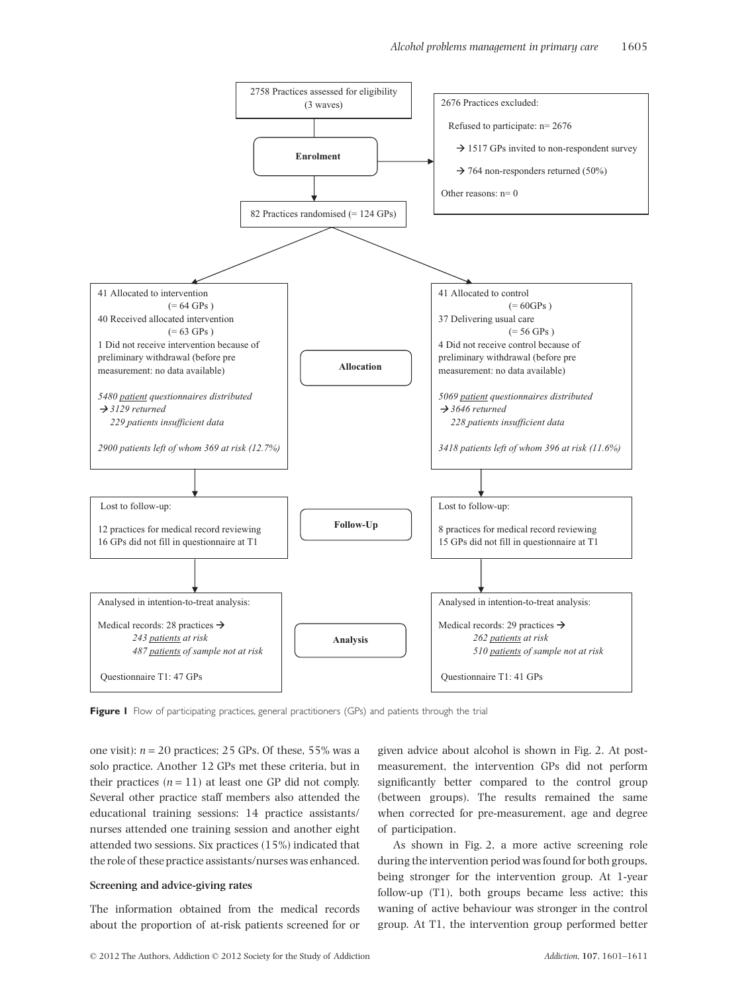

Figure I Flow of participating practices, general practitioners (GPs) and patients through the trial

one visit):  $n = 20$  practices; 25 GPs. Of these, 55% was a solo practice. Another 12 GPs met these criteria, but in their practices  $(n = 11)$  at least one GP did not comply. Several other practice staff members also attended the educational training sessions: 14 practice assistants/ nurses attended one training session and another eight attended two sessions. Six practices (15%) indicated that the role of these practice assistants/nurses was enhanced.

# **Screening and advice-giving rates**

The information obtained from the medical records about the proportion of at-risk patients screened for or given advice about alcohol is shown in Fig. 2. At postmeasurement, the intervention GPs did not perform significantly better compared to the control group (between groups). The results remained the same when corrected for pre-measurement, age and degree of participation.

As shown in Fig. 2, a more active screening role during the intervention period was found for both groups, being stronger for the intervention group. At 1-year follow-up (T1), both groups became less active; this waning of active behaviour was stronger in the control group. At T1, the intervention group performed better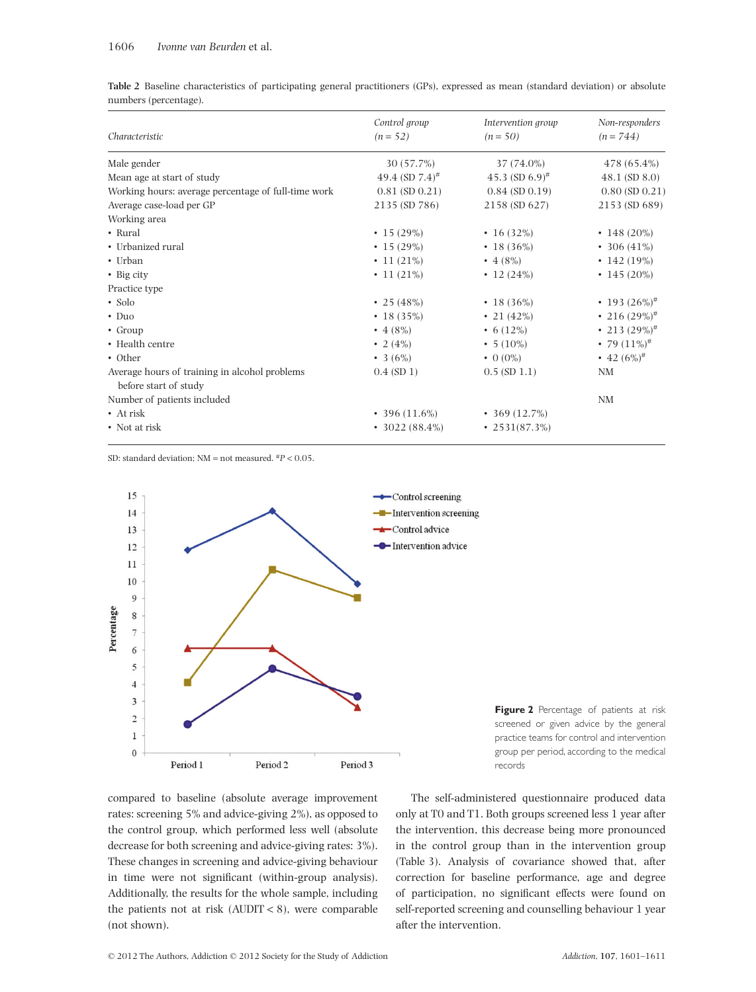**Table 2** Baseline characteristics of participating general practitioners (GPs), expressed as mean (standard deviation) or absolute numbers (percentage).

|                                                     | Control group                 | Intervention group         | Non-responders      |
|-----------------------------------------------------|-------------------------------|----------------------------|---------------------|
| Characteristic                                      | $(n = 52)$<br>$(n = 50)$      | $(n = 744)$                |                     |
| Male gender                                         | 30 (57.7%)                    | 37 (74.0%)                 | 478 (65.4%)         |
| Mean age at start of study                          | 49.4 (SD $7.4$ ) <sup>#</sup> | 45.3 (SD 6.9) <sup>#</sup> | $48.1$ (SD $8.0$ )  |
| Working hours: average percentage of full-time work | $0.81$ (SD $0.21$ )           | $0.84$ (SD $0.19$ )        | $0.80$ (SD $0.21$ ) |
| Average case-load per GP                            | 2135 (SD 786)                 | 2158 (SD 627)              | 2153 (SD 689)       |
| Working area                                        |                               |                            |                     |
| • Rural                                             | $\cdot$ 15 (29%)              | • 16 $(32%)$               | • 148 (20%)         |
| • Urbanized rural                                   | $\cdot$ 15 (29%)              | $\cdot$ 18 (36%)           | • 306 $(41\%)$      |
| • Urban                                             | $\cdot$ 11 (21%)              | • 4 $(8\%)$                | $\cdot$ 142 (19%)   |
| $\bullet$ Big city                                  | $\cdot$ 11 (21%)              | • 12 $(24%)$               | • 145 (20%)         |
| Practice type                                       |                               |                            |                     |
| $\bullet$ Solo                                      | • 25 $(48%)$                  | $\cdot$ 18 (36%)           | • 193 $(26\%)^{\#}$ |
| $\cdot$ Duo                                         | $\cdot$ 18 (35%)              | • 21 $(42\%)$              | • 216 $(29\%)^{\#}$ |
| • Group                                             | • 4 $(8\%)$                   | • 6 $(12\%)$               | • 213 $(29\%)^{\#}$ |
| • Health centre                                     | • 2 $(4%)$                    | • $5(10\%)$                | • 79 $(11\%)^{\#}$  |
| • Other                                             | • 3 $(6%)$                    | $\bullet$ 0 (0%)           | • 42 $(6\%)^{\#}$   |
| Average hours of training in alcohol problems       | $0.4$ (SD 1)                  | $0.5$ (SD $1.1$ )          | NM                  |
| before start of study                               |                               |                            |                     |
| Number of patients included                         |                               |                            | NM                  |
| $\bullet$ At risk                                   | $\cdot$ 396 (11.6%)           | $\cdot$ 369 (12.7%)        |                     |
| • Not at risk                                       | $\cdot$ 3022 (88.4%)          | $\cdot$ 2531(87.3%)        |                     |

SD: standard deviation; NM = not measured. #*P* < 0.05.



**Figure 2** Percentage of patients at risk screened or given advice by the general practice teams for control and intervention group per period, according to the medical records

compared to baseline (absolute average improvement rates: screening 5% and advice-giving 2%), as opposed to the control group, which performed less well (absolute decrease for both screening and advice-giving rates: 3%). These changes in screening and advice-giving behaviour in time were not significant (within-group analysis). Additionally, the results for the whole sample, including the patients not at risk (AUDIT < 8), were comparable (not shown).

The self-administered questionnaire produced data only at T0 and T1. Both groups screened less 1 year after the intervention, this decrease being more pronounced in the control group than in the intervention group (Table 3). Analysis of covariance showed that, after correction for baseline performance, age and degree of participation, no significant effects were found on self-reported screening and counselling behaviour 1 year after the intervention.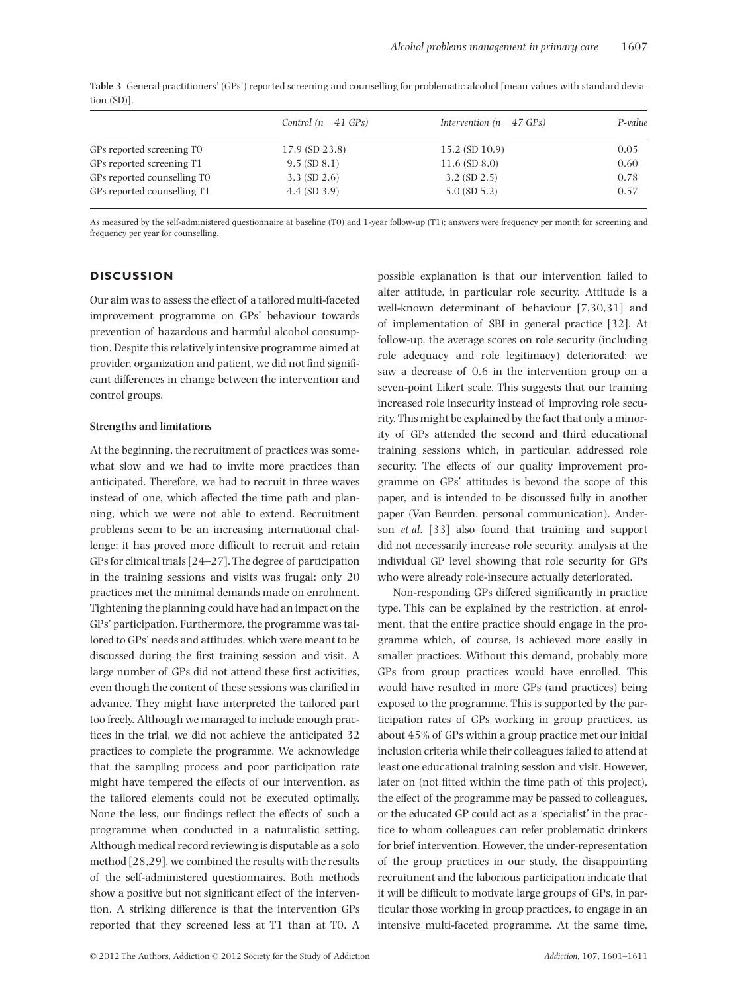|                             | Control $(n = 41 \text{ GPs})$ | Intervention ( $n = 47$ GPs) | P-value |
|-----------------------------|--------------------------------|------------------------------|---------|
| GPs reported screening TO   | $17.9$ (SD 23.8)               | $15.2$ (SD $10.9$ )          | 0.05    |
| GPs reported screening T1   | $9.5$ (SD $8.1$ )              | $11.6$ (SD $8.0$ )           | 0.60    |
| GPs reported counselling TO | $3.3 \text{ (SD } 2.6)$        | $3.2$ (SD $2.5$ )            | 0.78    |
| GPs reported counselling T1 | $4.4$ (SD 3.9)                 | $5.0$ (SD $5.2$ )            | 0.57    |
|                             |                                |                              |         |

**Table 3** General practitioners' (GPs') reported screening and counselling for problematic alcohol [mean values with standard deviation (SD)].

As measured by the self-administered questionnaire at baseline (T0) and 1-year follow-up (T1); answers were frequency per month for screening and frequency per year for counselling.

# **DISCUSSION**

Our aim was to assess the effect of a tailored multi-faceted improvement programme on GPs' behaviour towards prevention of hazardous and harmful alcohol consumption. Despite this relatively intensive programme aimed at provider, organization and patient, we did not find significant differences in change between the intervention and control groups.

# **Strengths and limitations**

At the beginning, the recruitment of practices was somewhat slow and we had to invite more practices than anticipated. Therefore, we had to recruit in three waves instead of one, which affected the time path and planning, which we were not able to extend. Recruitment problems seem to be an increasing international challenge: it has proved more difficult to recruit and retain GPs for clinical trials [24–27]. The degree of participation in the training sessions and visits was frugal: only 20 practices met the minimal demands made on enrolment. Tightening the planning could have had an impact on the GPs' participation. Furthermore, the programme was tailored to GPs' needs and attitudes, which were meant to be discussed during the first training session and visit. A large number of GPs did not attend these first activities, even though the content of these sessions was clarified in advance. They might have interpreted the tailored part too freely. Although we managed to include enough practices in the trial, we did not achieve the anticipated 32 practices to complete the programme. We acknowledge that the sampling process and poor participation rate might have tempered the effects of our intervention, as the tailored elements could not be executed optimally. None the less, our findings reflect the effects of such a programme when conducted in a naturalistic setting. Although medical record reviewing is disputable as a solo method [28,29], we combined the results with the results of the self-administered questionnaires. Both methods show a positive but not significant effect of the intervention. A striking difference is that the intervention GPs reported that they screened less at T1 than at T0. A possible explanation is that our intervention failed to alter attitude, in particular role security. Attitude is a well-known determinant of behaviour [7,30,31] and of implementation of SBI in general practice [32]. At follow-up, the average scores on role security (including role adequacy and role legitimacy) deteriorated; we saw a decrease of 0.6 in the intervention group on a seven-point Likert scale. This suggests that our training increased role insecurity instead of improving role security. This might be explained by the fact that only a minority of GPs attended the second and third educational training sessions which, in particular, addressed role security. The effects of our quality improvement programme on GPs' attitudes is beyond the scope of this paper, and is intended to be discussed fully in another paper (Van Beurden, personal communication). Anderson *et al*. [33] also found that training and support did not necessarily increase role security, analysis at the individual GP level showing that role security for GPs who were already role-insecure actually deteriorated.

Non-responding GPs differed significantly in practice type. This can be explained by the restriction, at enrolment, that the entire practice should engage in the programme which, of course, is achieved more easily in smaller practices. Without this demand, probably more GPs from group practices would have enrolled. This would have resulted in more GPs (and practices) being exposed to the programme. This is supported by the participation rates of GPs working in group practices, as about 45% of GPs within a group practice met our initial inclusion criteria while their colleagues failed to attend at least one educational training session and visit. However, later on (not fitted within the time path of this project), the effect of the programme may be passed to colleagues, or the educated GP could act as a 'specialist' in the practice to whom colleagues can refer problematic drinkers for brief intervention. However, the under-representation of the group practices in our study, the disappointing recruitment and the laborious participation indicate that it will be difficult to motivate large groups of GPs, in particular those working in group practices, to engage in an intensive multi-faceted programme. At the same time,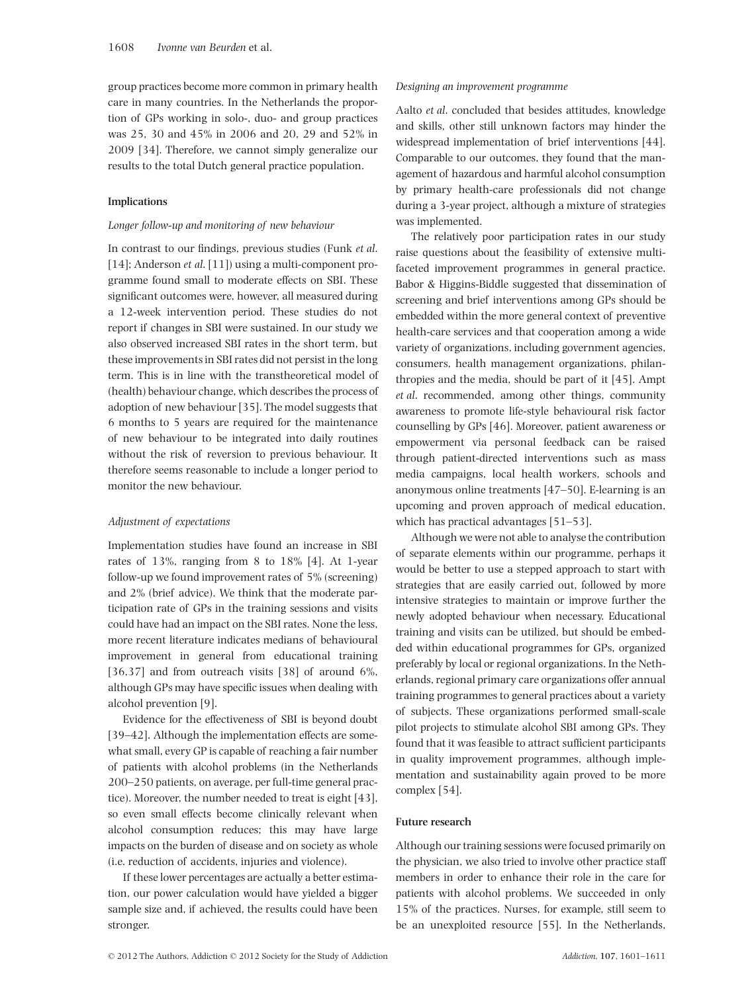group practices become more common in primary health care in many countries. In the Netherlands the proportion of GPs working in solo-, duo- and group practices was 25, 30 and 45% in 2006 and 20, 29 and 52% in 2009 [34]. Therefore, we cannot simply generalize our results to the total Dutch general practice population.

# **Implications**

#### *Longer follow-up and monitoring of new behaviour*

In contrast to our findings, previous studies (Funk *et al*. [14]; Anderson *et al*. [11]) using a multi-component programme found small to moderate effects on SBI. These significant outcomes were, however, all measured during a 12-week intervention period. These studies do not report if changes in SBI were sustained. In our study we also observed increased SBI rates in the short term, but these improvements in SBI rates did not persist in the long term. This is in line with the transtheoretical model of (health) behaviour change, which describes the process of adoption of new behaviour [35]. The model suggests that 6 months to 5 years are required for the maintenance of new behaviour to be integrated into daily routines without the risk of reversion to previous behaviour. It therefore seems reasonable to include a longer period to monitor the new behaviour.

# *Adjustment of expectations*

Implementation studies have found an increase in SBI rates of 13%, ranging from 8 to 18% [4]. At 1-year follow-up we found improvement rates of 5% (screening) and 2% (brief advice). We think that the moderate participation rate of GPs in the training sessions and visits could have had an impact on the SBI rates. None the less, more recent literature indicates medians of behavioural improvement in general from educational training [36,37] and from outreach visits [38] of around 6%, although GPs may have specific issues when dealing with alcohol prevention [9].

Evidence for the effectiveness of SBI is beyond doubt [39–42]. Although the implementation effects are somewhat small, every GP is capable of reaching a fair number of patients with alcohol problems (in the Netherlands 200–250 patients, on average, per full-time general practice). Moreover, the number needed to treat is eight [43], so even small effects become clinically relevant when alcohol consumption reduces; this may have large impacts on the burden of disease and on society as whole (i.e. reduction of accidents, injuries and violence).

If these lower percentages are actually a better estimation, our power calculation would have yielded a bigger sample size and, if achieved, the results could have been stronger.

# *Designing an improvement programme*

Aalto *et al*. concluded that besides attitudes, knowledge and skills, other still unknown factors may hinder the widespread implementation of brief interventions [44]. Comparable to our outcomes, they found that the management of hazardous and harmful alcohol consumption by primary health-care professionals did not change during a 3-year project, although a mixture of strategies was implemented.

The relatively poor participation rates in our study raise questions about the feasibility of extensive multifaceted improvement programmes in general practice. Babor & Higgins-Biddle suggested that dissemination of screening and brief interventions among GPs should be embedded within the more general context of preventive health-care services and that cooperation among a wide variety of organizations, including government agencies, consumers, health management organizations, philanthropies and the media, should be part of it [45]. Ampt *et al*. recommended, among other things, community awareness to promote life-style behavioural risk factor counselling by GPs [46]. Moreover, patient awareness or empowerment via personal feedback can be raised through patient-directed interventions such as mass media campaigns, local health workers, schools and anonymous online treatments [47–50]. E-learning is an upcoming and proven approach of medical education, which has practical advantages [51–53].

Although we were not able to analyse the contribution of separate elements within our programme, perhaps it would be better to use a stepped approach to start with strategies that are easily carried out, followed by more intensive strategies to maintain or improve further the newly adopted behaviour when necessary. Educational training and visits can be utilized, but should be embedded within educational programmes for GPs, organized preferably by local or regional organizations. In the Netherlands, regional primary care organizations offer annual training programmes to general practices about a variety of subjects. These organizations performed small-scale pilot projects to stimulate alcohol SBI among GPs. They found that it was feasible to attract sufficient participants in quality improvement programmes, although implementation and sustainability again proved to be more complex [54].

## **Future research**

Although our training sessions were focused primarily on the physician, we also tried to involve other practice staff members in order to enhance their role in the care for patients with alcohol problems. We succeeded in only 15% of the practices. Nurses, for example, still seem to be an unexploited resource [55]. In the Netherlands,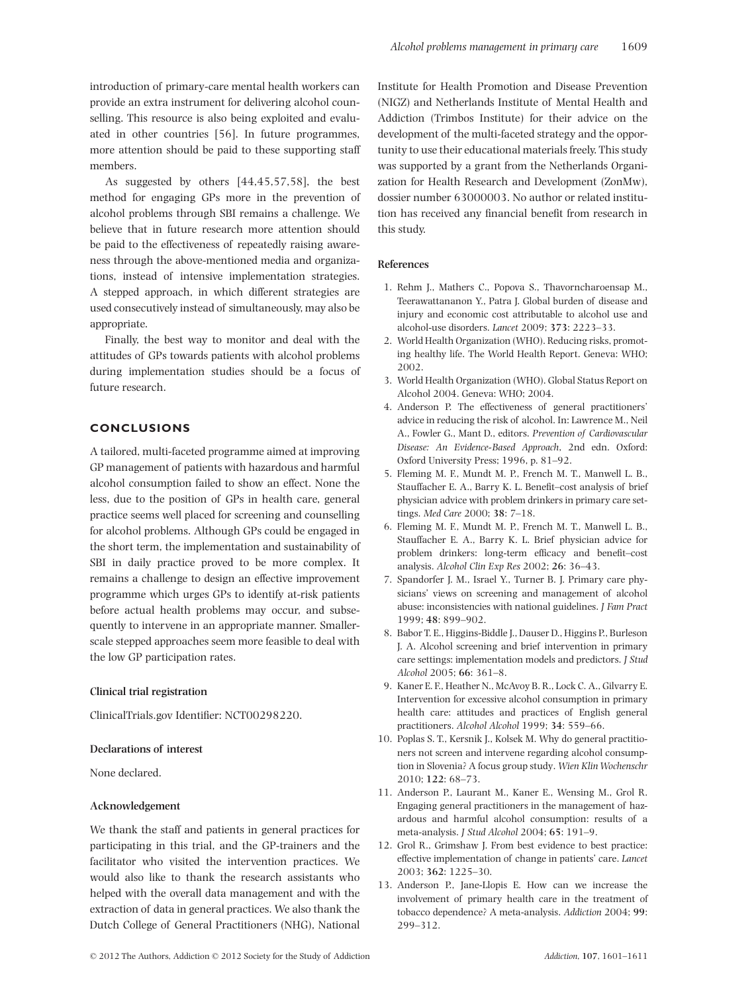introduction of primary-care mental health workers can provide an extra instrument for delivering alcohol counselling. This resource is also being exploited and evaluated in other countries [56]. In future programmes, more attention should be paid to these supporting staff members.

As suggested by others [44,45,57,58], the best method for engaging GPs more in the prevention of alcohol problems through SBI remains a challenge. We believe that in future research more attention should be paid to the effectiveness of repeatedly raising awareness through the above-mentioned media and organizations, instead of intensive implementation strategies. A stepped approach, in which different strategies are used consecutively instead of simultaneously, may also be appropriate.

Finally, the best way to monitor and deal with the attitudes of GPs towards patients with alcohol problems during implementation studies should be a focus of future research.

# **CONCLUSIONS**

A tailored, multi-faceted programme aimed at improving GP management of patients with hazardous and harmful alcohol consumption failed to show an effect. None the less, due to the position of GPs in health care, general practice seems well placed for screening and counselling for alcohol problems. Although GPs could be engaged in the short term, the implementation and sustainability of SBI in daily practice proved to be more complex. It remains a challenge to design an effective improvement programme which urges GPs to identify at-risk patients before actual health problems may occur, and subsequently to intervene in an appropriate manner. Smallerscale stepped approaches seem more feasible to deal with the low GP participation rates.

# **Clinical trial registration**

ClinicalTrials.gov Identifier: NCT00298220.

## **Declarations of interest**

None declared.

# **Acknowledgement**

We thank the staff and patients in general practices for participating in this trial, and the GP-trainers and the facilitator who visited the intervention practices. We would also like to thank the research assistants who helped with the overall data management and with the extraction of data in general practices. We also thank the Dutch College of General Practitioners (NHG), National

Institute for Health Promotion and Disease Prevention (NIGZ) and Netherlands Institute of Mental Health and Addiction (Trimbos Institute) for their advice on the development of the multi-faceted strategy and the opportunity to use their educational materials freely. This study was supported by a grant from the Netherlands Organization for Health Research and Development (ZonMw), dossier number 63000003. No author or related institution has received any financial benefit from research in this study.

# **References**

- 1. Rehm J., Mathers C., Popova S., Thavorncharoensap M., Teerawattananon Y., Patra J. Global burden of disease and injury and economic cost attributable to alcohol use and alcohol-use disorders. *Lancet* 2009; **373**: 2223–33.
- 2. World Health Organization (WHO). Reducing risks, promoting healthy life. The World Health Report. Geneva: WHO; 2002.
- 3. World Health Organization (WHO). Global Status Report on Alcohol 2004. Geneva: WHO; 2004.
- 4. Anderson P. The effectiveness of general practitioners' advice in reducing the risk of alcohol. In: Lawrence M., Neil A., Fowler G., Mant D., editors. *Prevention of Cardiovascular Disease: An Evidence-Based Approach*, 2nd edn. Oxford: Oxford University Press; 1996, p. 81–92.
- 5. Fleming M. F., Mundt M. P., French M. T., Manwell L. B., Stauffacher E. A., Barry K. L. Benefit–cost analysis of brief physician advice with problem drinkers in primary care settings. *Med Care* 2000; **38**: 7–18.
- 6. Fleming M. F., Mundt M. P., French M. T., Manwell L. B., Stauffacher E. A., Barry K. L. Brief physician advice for problem drinkers: long-term efficacy and benefit–cost analysis. *Alcohol Clin Exp Res* 2002; **26**: 36–43.
- 7. Spandorfer J. M., Israel Y., Turner B. J. Primary care physicians' views on screening and management of alcohol abuse: inconsistencies with national guidelines. *J Fam Pract* 1999; **48**: 899–902.
- 8. Babor T. E., Higgins-Biddle J., Dauser D., Higgins P., Burleson J. A. Alcohol screening and brief intervention in primary care settings: implementation models and predictors. *J Stud Alcohol* 2005; **66**: 361–8.
- 9. Kaner E. F., Heather N., McAvoy B. R., Lock C. A., Gilvarry E. Intervention for excessive alcohol consumption in primary health care: attitudes and practices of English general practitioners. *Alcohol Alcohol* 1999; **34**: 559–66.
- 10. Poplas S. T., Kersnik J., Kolsek M. Why do general practitioners not screen and intervene regarding alcohol consumption in Slovenia? A focus group study. *Wien Klin Wochenschr* 2010; **122**: 68–73.
- 11. Anderson P., Laurant M., Kaner E., Wensing M., Grol R. Engaging general practitioners in the management of hazardous and harmful alcohol consumption: results of a meta-analysis. *J Stud Alcohol* 2004; **65**: 191–9.
- 12. Grol R., Grimshaw J. From best evidence to best practice: effective implementation of change in patients' care. *Lancet* 2003; **362**: 1225–30.
- 13. Anderson P., Jane-Llopis E. How can we increase the involvement of primary health care in the treatment of tobacco dependence? A meta-analysis. *Addiction* 2004; **99**: 299–312.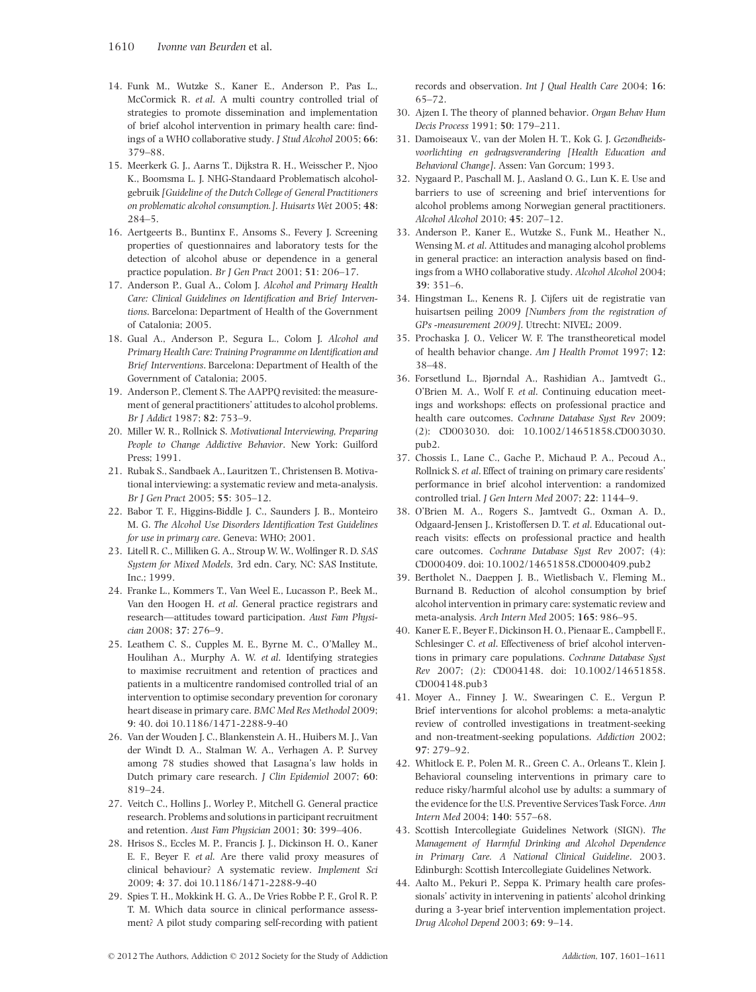- 14. Funk M., Wutzke S., Kaner E., Anderson P., Pas L., McCormick R. *et al*. A multi country controlled trial of strategies to promote dissemination and implementation of brief alcohol intervention in primary health care: findings of a WHO collaborative study. *J Stud Alcohol* 2005; **66**: 379–88.
- 15. Meerkerk G. J., Aarns T., Dijkstra R. H., Weisscher P., Njoo K., Boomsma L. J. NHG-Standaard Problematisch alcoholgebruik *[Guideline of the Dutch College of General Practitioners on problematic alcohol consumption.]*. *Huisarts Wet* 2005; **48**: 284–5.
- 16. Aertgeerts B., Buntinx F., Ansoms S., Fevery J. Screening properties of questionnaires and laboratory tests for the detection of alcohol abuse or dependence in a general practice population. *Br J Gen Pract* 2001; **51**: 206–17.
- 17. Anderson P., Gual A., Colom J. *Alcohol and Primary Health Care: Clinical Guidelines on Identification and Brief Interventions*. Barcelona: Department of Health of the Government of Catalonia; 2005.
- 18. Gual A., Anderson P., Segura L., Colom J. *Alcohol and Primary Health Care: Training Programme on Identification and Brief Interventions*. Barcelona: Department of Health of the Government of Catalonia; 2005.
- 19. Anderson P., Clement S. The AAPPQ revisited: the measurement of general practitioners' attitudes to alcohol problems. *Br J Addict* 1987; **82**: 753–9.
- 20. Miller W. R., Rollnick S. *Motivational Interviewing, Preparing People to Change Addictive Behavior*. New York: Guilford Press; 1991.
- 21. Rubak S., Sandbaek A., Lauritzen T., Christensen B. Motivational interviewing: a systematic review and meta-analysis. *Br J Gen Pract* 2005; **55**: 305–12.
- 22. Babor T. F., Higgins-Biddle J. C., Saunders J. B., Monteiro M. G. *The Alcohol Use Disorders Identification Test Guidelines for use in primary care*. Geneva: WHO; 2001.
- 23. Litell R. C., Milliken G. A., Stroup W. W., Wolfinger R. D. *SAS System for Mixed Models*, 3rd edn. Cary, NC: SAS Institute, Inc.; 1999.
- 24. Franke L., Kommers T., Van Weel E., Lucasson P., Beek M., Van den Hoogen H. *et al*. General practice registrars and research—attitudes toward participation. *Aust Fam Physician* 2008; **37**: 276–9.
- 25. Leathem C. S., Cupples M. E., Byrne M. C., O'Malley M., Houlihan A., Murphy A. W. *et al*. Identifying strategies to maximise recruitment and retention of practices and patients in a multicentre randomised controlled trial of an intervention to optimise secondary prevention for coronary heart disease in primary care. *BMC Med Res Methodol* 2009; **9**: 40. doi 10.1186/1471-2288-9-40
- 26. Van der Wouden J. C., Blankenstein A. H., Huibers M. J., Van der Windt D. A., Stalman W. A., Verhagen A. P. Survey among 78 studies showed that Lasagna's law holds in Dutch primary care research. *J Clin Epidemiol* 2007; **60**: 819–24.
- 27. Veitch C., Hollins J., Worley P., Mitchell G. General practice research. Problems and solutions in participant recruitment and retention. *Aust Fam Physician* 2001; **30**: 399–406.
- 28. Hrisos S., Eccles M. P., Francis J. J., Dickinson H. O., Kaner E. F., Beyer F. *et al*. Are there valid proxy measures of clinical behaviour? A systematic review. *Implement Sci* 2009; **4**: 37. doi 10.1186/1471-2288-9-40
- 29. Spies T. H., Mokkink H. G. A., De Vries Robbe P. F., Grol R. P. T. M. Which data source in clinical performance assessment? A pilot study comparing self-recording with patient

records and observation. *Int J Qual Health Care* 2004; **16**: 65–72.

- 30. Ajzen I. The theory of planned behavior. *Organ Behav Hum Decis Process* 1991; **50**: 179–211.
- 31. Damoiseaux V., van der Molen H. T., Kok G. J. *Gezondheidsvoorlichting en gedragsverandering [Health Education and Behavioral Change]*. Assen: Van Gorcum; 1993.
- 32. Nygaard P., Paschall M. J., Aasland O. G., Lun K. E. Use and barriers to use of screening and brief interventions for alcohol problems among Norwegian general practitioners. *Alcohol Alcohol* 2010; **45**: 207–12.
- 33. Anderson P., Kaner E., Wutzke S., Funk M., Heather N., Wensing M.*et al*. Attitudes and managing alcohol problems in general practice: an interaction analysis based on findings from a WHO collaborative study. *Alcohol Alcohol* 2004; **39**: 351–6.
- 34. Hingstman L., Kenens R. J. Cijfers uit de registratie van huisartsen peiling 2009 *[Numbers from the registration of GPs -measurement 2009]*. Utrecht: NIVEL; 2009.
- 35. Prochaska J. O., Velicer W. F. The transtheoretical model of health behavior change. *Am J Health Promot* 1997; **12**: 38–48.
- 36. Forsetlund L., Bjørndal A., Rashidian A., Jamtvedt G., O'Brien M. A., Wolf F. *et al*. Continuing education meetings and workshops: effects on professional practice and health care outcomes. *Cochrane Database Syst Rev* 2009; (2): CD003030. doi: 10.1002/14651858.CD003030. pub2.
- 37. Chossis I., Lane C., Gache P., Michaud P. A., Pecoud A., Rollnick S. *et al*. Effect of training on primary care residents' performance in brief alcohol intervention: a randomized controlled trial. *J Gen Intern Med* 2007; **22**: 1144–9.
- 38. O'Brien M. A., Rogers S., Jamtvedt G., Oxman A. D., Odgaard-Jensen J., Kristoffersen D. T. *et al*. Educational outreach visits: effects on professional practice and health care outcomes. *Cochrane Database Syst Rev* 2007; (4): CD000409. doi: 10.1002/14651858.CD000409.pub2
- 39. Bertholet N., Daeppen J. B., Wietlisbach V., Fleming M., Burnand B. Reduction of alcohol consumption by brief alcohol intervention in primary care: systematic review and meta-analysis. *Arch Intern Med* 2005; **165**: 986–95.
- 40. Kaner E. F., Beyer F., Dickinson H. O., Pienaar E., Campbell F., Schlesinger C. *et al*. Effectiveness of brief alcohol interventions in primary care populations. *Cochrane Database Syst Rev* 2007; (2): CD004148. doi: 10.1002/14651858. CD004148.pub3
- 41. Moyer A., Finney J. W., Swearingen C. E., Vergun P. Brief interventions for alcohol problems: a meta-analytic review of controlled investigations in treatment-seeking and non-treatment-seeking populations. *Addiction* 2002; **97**: 279–92.
- 42. Whitlock E. P., Polen M. R., Green C. A., Orleans T., Klein J. Behavioral counseling interventions in primary care to reduce risky/harmful alcohol use by adults: a summary of the evidence for the U.S. Preventive Services Task Force. *Ann Intern Med* 2004; **140**: 557–68.
- 43. Scottish Intercollegiate Guidelines Network (SIGN). *The Management of Harmful Drinking and Alcohol Dependence in Primary Care. A National Clinical Guideline*. 2003. Edinburgh: Scottish Intercollegiate Guidelines Network.
- 44. Aalto M., Pekuri P., Seppa K. Primary health care professionals' activity in intervening in patients' alcohol drinking during a 3-year brief intervention implementation project. *Drug Alcohol Depend* 2003; **69**: 9–14.